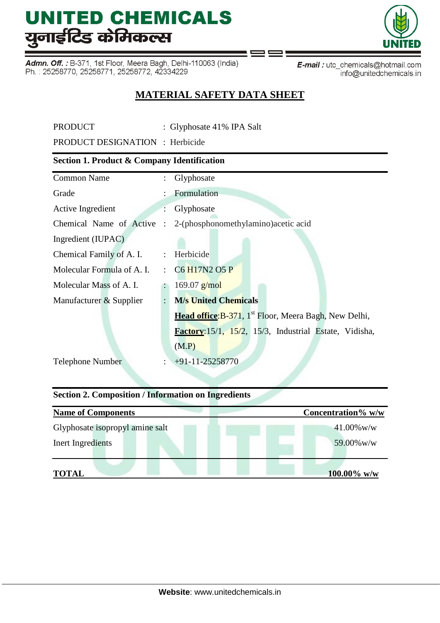Admn. Off.: B-371, 1st Floor, Meera Bagh, Delhi-110063 (India) Ph.: 25258770, 25258771, 25258772, 42334229

E-mail: utc\_chemicals@hotmail.com info@unitedchemicals.in

### **MATERIAL SAFETY DATA SHEET**

PRODUCT : Glyphosate 41% IPA Salt

PRODUCT DESIGNATION : Herbicide

#### **Section 1. Product & Company Identification**

|                      | Glyphosate                                                               |  |  |
|----------------------|--------------------------------------------------------------------------|--|--|
|                      | Formulation                                                              |  |  |
|                      | Glyphosate                                                               |  |  |
| $\ddot{\cdot}$       | 2-(phosphonomethylamino) acetic acid                                     |  |  |
|                      |                                                                          |  |  |
| $\ddot{\phantom{a}}$ | Herbicide                                                                |  |  |
| ÷                    | C <sub>6</sub> H <sub>17</sub> N <sub>2</sub> O <sub>5</sub> P           |  |  |
|                      | $169.07$ g/mol                                                           |  |  |
| $\ddot{\cdot}$       | <b>M/s United Chemicals</b>                                              |  |  |
|                      | <b>Head office:</b> B-371, 1 <sup>st</sup> Floor, Meera Bagh, New Delhi, |  |  |
|                      | Factory: 15/1, 15/2, 15/3, Industrial Estate, Vidisha,                   |  |  |
|                      | (M.P)                                                                    |  |  |
| $\ddot{\cdot}$       | $+91-11-25258770$                                                        |  |  |
|                      | Chemical Name of Active                                                  |  |  |

#### **Section 2. Composition / Information on Ingredients**

| <b>Name of Components</b>       | Concentration% w/w |
|---------------------------------|--------------------|
| Glyphosate isopropyl amine salt | $41.00\%$ w/w      |
| Inert Ingredients               | 59.00% w/w         |
| <b>TOTAL</b>                    | $100.00\%$ w/w     |

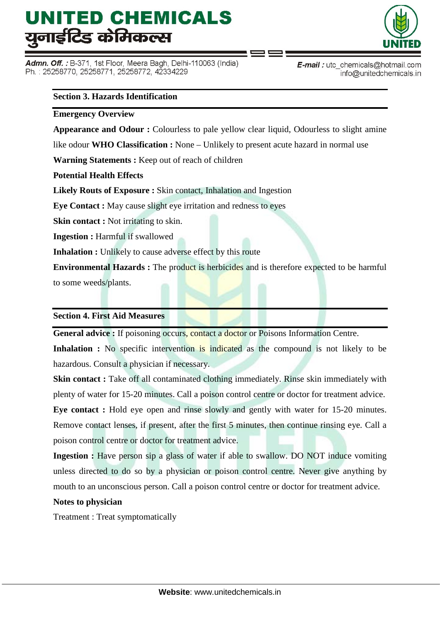Admn. Off. : B-371, 1st Floor, Meera Bagh, Delhi-110063 (India) Ph.: 25258770, 25258771, 25258772, 42334229



E-mail: utc\_chemicals@hotmail.com info@unitedchemicals.in

#### **Section 3. Hazards Identification**

#### **Emergency Overview**

**Appearance and Odour :** Colourless to pale yellow clear liquid, Odourless to slight amine

like odour **WHO Classification :** None – Unlikely to present acute hazard in normal use

**Warning Statements :** Keep out of reach of children

**Potential Health Effects** 

**Likely Routs of Exposure :** Skin contact, Inhalation and Ingestion

**Eye Contact :** May cause slight eye irritation and redness to eyes

**Skin contact :** Not irritating to skin.

**Ingestion :** Harmful if swallowed

**Inhalation :** Unlikely to cause adverse effect by this route

**Environmental Hazards :** The product is herbicides and is therefore expected to be harmful to some weeds/plants.

#### **Section 4. First Aid Measures**

General advice : If poisoning occurs, contact a doctor or Poisons Information Centre.

Inhalation : No specific intervention is indicated as the compound is not likely to be hazardous. Consult a physician if necessary.

**Skin contact :** Take off all contaminated clothing immediately. Rinse skin immediately with plenty of water for 15-20 minutes. Call a poison control centre or doctor for treatment advice.

**Eye contact :** Hold eye open and rinse slowly and gently with water for 15-20 minutes. Remove contact lenses, if present, after the first 5 minutes, then continue rinsing eye. Call a poison control centre or doctor for treatment advice.

**Ingestion :** Have person sip a glass of water if able to swallow. DO NOT induce vomiting unless directed to do so by a physician or poison control centre. Never give anything by mouth to an unconscious person. Call a poison control centre or doctor for treatment advice.

#### **Notes to physician**

Treatment : Treat symptomatically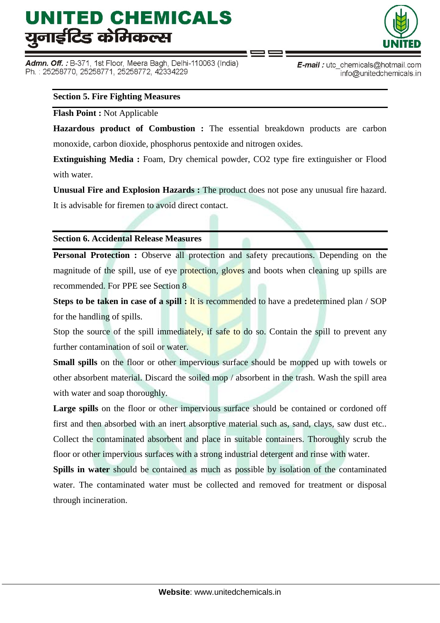Admn. Off. : B-371, 1st Floor, Meera Bagh, Delhi-110063 (India) Ph.: 25258770, 25258771, 25258772, 42334229



E-mail: utc\_chemicals@hotmail.com info@unitedchemicals.in

#### **Section 5. Fire Fighting Measures**

#### **Flash Point :** Not Applicable

**Hazardous product of Combustion :** The essential breakdown products are carbon monoxide, carbon dioxide, phosphorus pentoxide and nitrogen oxides.

**Extinguishing Media :** Foam, Dry chemical powder, CO2 type fire extinguisher or Flood with water.

**Unusual Fire and Explosion Hazards :** The product does not pose any unusual fire hazard.

It is advisable for firemen to avoid direct contact.

#### **Section 6. Accidental Release Measures**

**Personal Protection :** Observe all protection and safety precautions. Depending on the magnitude of the spill, use of eye protection, gloves and boots when cleaning up spills are recommended. For PPE see Section 8

**Steps to be taken in case of a spill : It is recommended to have a predetermined plan / SOP** for the handling of spills.

Stop the source of the spill immediately, if safe to do so. Contain the spill to prevent any further contamination of soil or water.

**Small spills** on the floor or other impervious surface should be mopped up with towels or other absorbent material. Discard the soiled mop / absorbent in the trash. Wash the spill area with water and soap thoroughly.

Large spills on the floor or other impervious surface should be contained or cordoned off first and then absorbed with an inert absorptive material such as, sand, clays, saw dust etc.. Collect the contaminated absorbent and place in suitable containers. Thoroughly scrub the floor or other impervious surfaces with a strong industrial detergent and rinse with water.

**Spills in water** should be contained as much as possible by isolation of the contaminated water. The contaminated water must be collected and removed for treatment or disposal through incineration.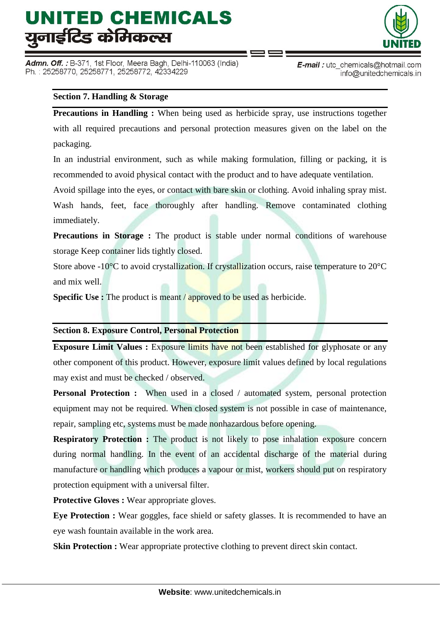Admn. Off. : B-371, 1st Floor, Meera Bagh, Delhi-110063 (India) Ph.: 25258770, 25258771, 25258772, 42334229



E-mail: utc\_chemicals@hotmail.com info@unitedchemicals.in

#### **Section 7. Handling & Storage**

**Precautions in Handling :** When being used as herbicide spray, use instructions together with all required precautions and personal protection measures given on the label on the packaging.

In an industrial environment, such as while making formulation, filling or packing, it is recommended to avoid physical contact with the product and to have adequate ventilation.

Avoid spillage into the eyes, or contact with bare skin or clothing. Avoid inhaling spray mist.

Wash hands, feet, face thoroughly after handling. Remove contaminated clothing immediately.

**Precautions in Storage :** The product is stable under normal conditions of warehouse storage Keep container lids tightly closed.

Store above -10<sup>o</sup>C to avoid crystallization. If crystallization occurs, raise temperature to 20<sup>o</sup>C and mix well.

**Specific Use :** The product is meant / approved to be used as herbicide.

#### **Section 8. Exposure Control, Personal Protection**

**Exposure Limit Values :** Exposure limits have not been established for glyphosate or any other component of this product. However, exposure limit values defined by local regulations may exist and must be checked / observed.

**Personal Protection :** When used in a closed / automated system, personal protection equipment may not be required. When closed system is not possible in case of maintenance, repair, sampling etc, systems must be made nonhazardous before opening.

**Respiratory Protection :** The product is not likely to pose inhalation exposure concern during normal handling. In the event of an accidental discharge of the material during manufacture or handling which produces a vapour or mist, workers should put on respiratory protection equipment with a universal filter.

**Protective Gloves :** Wear appropriate gloves.

**Eye Protection :** Wear goggles, face shield or safety glasses. It is recommended to have an eye wash fountain available in the work area.

**Skin Protection :** Wear appropriate protective clothing to prevent direct skin contact.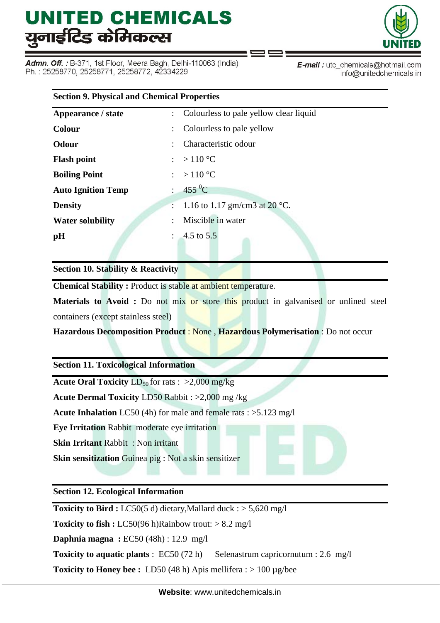Admn. Off. : B-371, 1st Floor, Meera Bagh, Delhi-110063 (India) Ph.: 25258770, 25258771, 25258772, 42334229



E-mail: utc\_chemicals@hotmail.com info@unitedchemicals.in

| <b>Section 9. Physical and Chemical Properties</b> |                                          |  |  |  |
|----------------------------------------------------|------------------------------------------|--|--|--|
| Appearance / state                                 | : Colourless to pale yellow clear liquid |  |  |  |
| <b>Colour</b>                                      | Colourless to pale yellow                |  |  |  |
| <b>Odour</b>                                       | Characteristic odour                     |  |  |  |
| <b>Flash point</b>                                 | : > 110 °C                               |  |  |  |
| <b>Boiling Point</b>                               | : > 110 °C                               |  |  |  |
| <b>Auto Ignition Temp</b>                          | : $455 \,^0C$                            |  |  |  |
| <b>Density</b>                                     | : 1.16 to 1.17 gm/cm3 at 20 °C.          |  |  |  |
| <b>Water solubility</b>                            | Miscible in water<br>÷                   |  |  |  |
| pH                                                 | : $4.5 \text{ to } 5.5$                  |  |  |  |
|                                                    |                                          |  |  |  |

**Section 10. Stability & Reactivity**

**Chemical Stability :** Product is stable at ambient temperature.

**Materials to Avoid :** Do not mix or store this product in galvanised or unlined steel containers (except stainless steel)

**Hazardous Decomposition Product** : None , **Hazardous Polymerisation** : Do not occur

**Section 11. Toxicological Information**

**Acute Oral Toxicity**  $LD_{50}$  for rats :  $>2,000$  mg/kg

**Acute Dermal Toxicity** LD50 Rabbit : >2,000 mg /kg

**Acute Inhalation** LC50 (4h) for male and female rats : >5.123 mg/l

**Eye Irritation** Rabbit moderate eye irritation

**Skin Irritant** Rabbit : Non irritant

**Skin sensitization** Guinea pig : Not a skin sensitizer

**Section 12. Ecological Information**

**Toxicity to Bird :** LC50(5 d) dietary,Mallard duck : > 5,620 mg/l

**Toxicity to fish :** LC50(96 h)Rainbow trout:  $> 8.2$  mg/l

**Daphnia magna :** EC50 (48h) : 12.9 mg/l

**Toxicity to aquatic plants** : EC50 (72 h) Selenastrum capricornutum : 2.6 mg/l

**Toxicity to Honey bee :** LD50 (48 h) Apis mellifera : > 100 µg/bee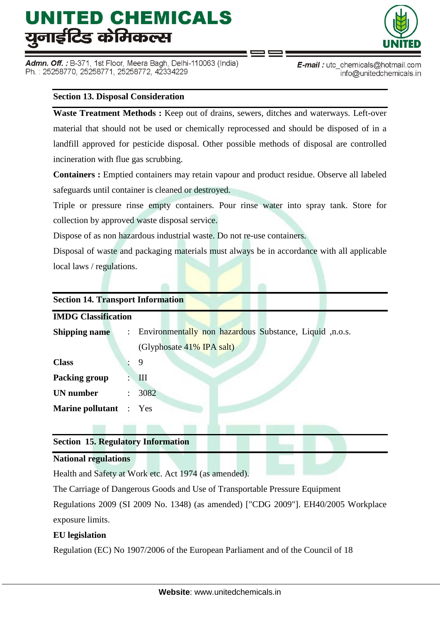Admn. Off. : B-371, 1st Floor, Meera Bagh, Delhi-110063 (India) Ph.: 25258770, 25258771, 25258772, 42334229



E-mail: utc\_chemicals@hotmail.com info@unitedchemicals.in

#### **Section 13. Disposal Consideration**

**Waste Treatment Methods :** Keep out of drains, sewers, ditches and waterways. Left-over material that should not be used or chemically reprocessed and should be disposed of in a landfill approved for pesticide disposal. Other possible methods of disposal are controlled incineration with flue gas scrubbing.

**Containers :** Emptied containers may retain vapour and product residue. Observe all labeled safeguards until container is cleaned or destroyed.

Triple or pressure rinse empty containers. Pour rinse water into spray tank. Store for collection by approved waste disposal service.

Dispose of as non hazardous industrial waste. Do not re-use containers.

Disposal of waste and packaging materials must always be in accordance with all applicable local laws / regulations.

| <b>Section 14. Transport Information</b> |                      |                                                           |  |  |  |  |
|------------------------------------------|----------------------|-----------------------------------------------------------|--|--|--|--|
| <b>IMDG Classification</b>               |                      |                                                           |  |  |  |  |
| <b>Shipping name</b>                     |                      | : Environmentally non hazardous Substance, Liquid ,n.o.s. |  |  |  |  |
|                                          |                      | (Glyphosate 41% IPA salt)                                 |  |  |  |  |
| <b>Class</b>                             |                      | 9                                                         |  |  |  |  |
| Packing group                            |                      | III                                                       |  |  |  |  |
| <b>UN</b> number                         | $\ddot{\phantom{a}}$ | 3082                                                      |  |  |  |  |
| <b>Marine pollutant</b> : Yes            |                      |                                                           |  |  |  |  |
|                                          |                      |                                                           |  |  |  |  |

#### **Section 15. Regulatory Information**

#### **National regulations**

Health and Safety at Work etc. Act 1974 (as amended).

The Carriage of Dangerous Goods and Use of Transportable Pressure Equipment

Regulations 2009 (SI 2009 No. 1348) (as amended) ["CDG 2009"]. EH40/2005 Workplace exposure limits.

#### **EU legislation**

Regulation (EC) No 1907/2006 of the European Parliament and of the Council of 18